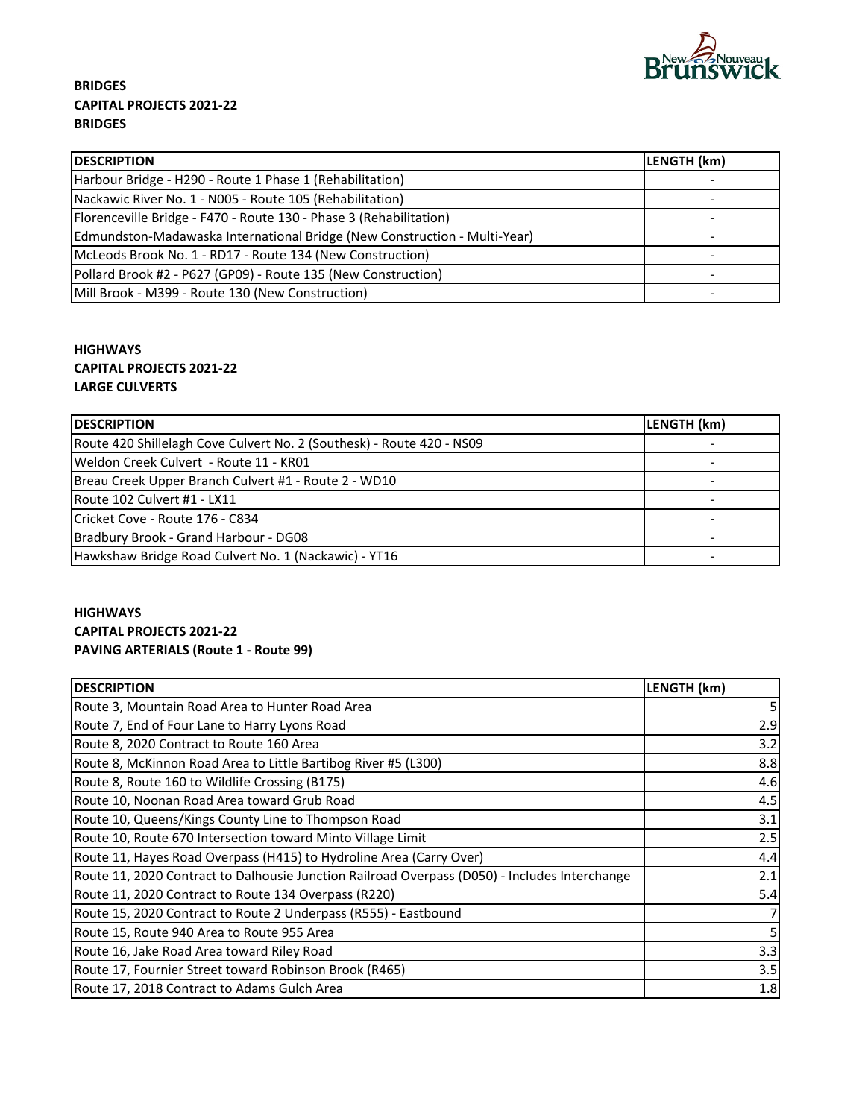

## **BRIDGES CAPITAL PROJECTS 2021‐22 BRIDGES**

| <b>DESCRIPTION</b>                                                        | LENGTH (km) |
|---------------------------------------------------------------------------|-------------|
| Harbour Bridge - H290 - Route 1 Phase 1 (Rehabilitation)                  |             |
| Nackawic River No. 1 - N005 - Route 105 (Rehabilitation)                  |             |
| Florenceville Bridge - F470 - Route 130 - Phase 3 (Rehabilitation)        |             |
| Edmundston-Madawaska International Bridge (New Construction - Multi-Year) |             |
| McLeods Brook No. 1 - RD17 - Route 134 (New Construction)                 |             |
| Pollard Brook #2 - P627 (GP09) - Route 135 (New Construction)             |             |
| Mill Brook - M399 - Route 130 (New Construction)                          |             |

### **HIGHWAYS CAPITAL PROJECTS 2021‐22 LARGE CULVERTS**

| <b>DESCRIPTION</b>                                                    | LENGTH (km) |
|-----------------------------------------------------------------------|-------------|
| Route 420 Shillelagh Cove Culvert No. 2 (Southesk) - Route 420 - NS09 |             |
| IWeldon Creek Culvert - Route 11 - KR01                               |             |
| Breau Creek Upper Branch Culvert #1 - Route 2 - WD10                  |             |
| Route 102 Culvert #1 - LX11                                           |             |
| Cricket Cove - Route 176 - C834                                       |             |
| Bradbury Brook - Grand Harbour - DG08                                 |             |
| Hawkshaw Bridge Road Culvert No. 1 (Nackawic) - YT16                  |             |

### **HIGHWAYS CAPITAL PROJECTS 2021‐22 PAVING ARTERIALS (Route 1 ‐ Route 99)**

| <b>DESCRIPTION</b>                                                                            | LENGTH (km) |
|-----------------------------------------------------------------------------------------------|-------------|
| Route 3, Mountain Road Area to Hunter Road Area                                               |             |
| Route 7, End of Four Lane to Harry Lyons Road                                                 | 2.9         |
| Route 8, 2020 Contract to Route 160 Area                                                      | 3.2         |
| Route 8, McKinnon Road Area to Little Bartibog River #5 (L300)                                | 8.8         |
| Route 8, Route 160 to Wildlife Crossing (B175)                                                | 4.6         |
| Route 10, Noonan Road Area toward Grub Road                                                   | 4.5         |
| Route 10, Queens/Kings County Line to Thompson Road                                           | 3.1         |
| Route 10, Route 670 Intersection toward Minto Village Limit                                   | 2.5         |
| Route 11, Hayes Road Overpass (H415) to Hydroline Area (Carry Over)                           | 4.4         |
| Route 11, 2020 Contract to Dalhousie Junction Railroad Overpass (D050) - Includes Interchange | 2.1         |
| Route 11, 2020 Contract to Route 134 Overpass (R220)                                          | 5.4         |
| Route 15, 2020 Contract to Route 2 Underpass (R555) - Eastbound                               |             |
| Route 15, Route 940 Area to Route 955 Area                                                    |             |
| Route 16, Jake Road Area toward Riley Road                                                    | 3.3         |
| Route 17, Fournier Street toward Robinson Brook (R465)                                        | 3.5         |
| Route 17, 2018 Contract to Adams Gulch Area                                                   | 1.8         |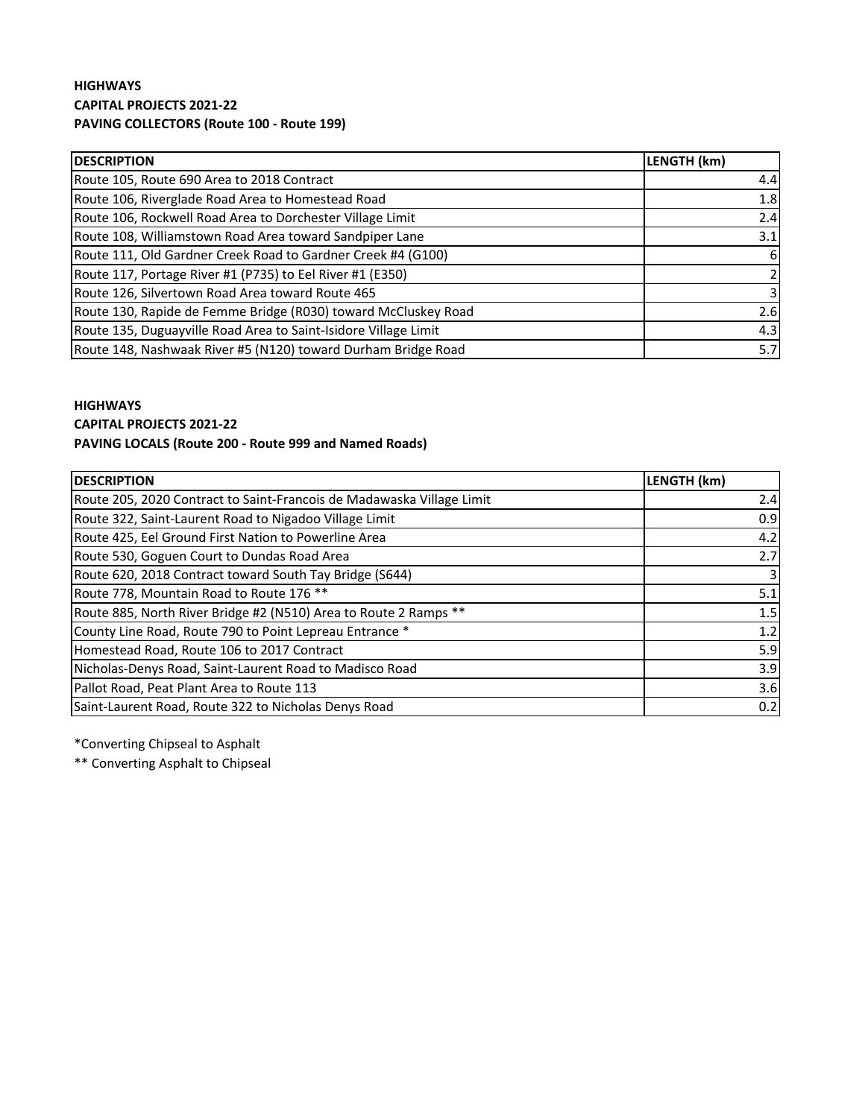### **HIGHWAYS CAPITAL PROJECTS 2021‐22 PAVING COLLECTORS (Route 100 ‐ Route 199)**

| <b>DESCRIPTION</b>                                              | LENGTH (km) |
|-----------------------------------------------------------------|-------------|
| Route 105, Route 690 Area to 2018 Contract                      | 4.4         |
| Route 106, Riverglade Road Area to Homestead Road               | 1.8         |
| Route 106, Rockwell Road Area to Dorchester Village Limit       | 2.4         |
| Route 108, Williamstown Road Area toward Sandpiper Lane         | 3.1         |
| Route 111, Old Gardner Creek Road to Gardner Creek #4 (G100)    | 6           |
| Route 117, Portage River #1 (P735) to Eel River #1 (E350)       |             |
| Route 126, Silvertown Road Area toward Route 465                |             |
| Route 130, Rapide de Femme Bridge (R030) toward McCluskey Road  | 2.6         |
| Route 135, Duguayville Road Area to Saint-Isidore Village Limit | 4.3         |
| Route 148, Nashwaak River #5 (N120) toward Durham Bridge Road   | 5.7         |

#### **HIGHWAYS**

#### **CAPITAL PROJECTS 2021‐22**

### **PAVING LOCALS (Route 200 ‐ Route 999 and Named Roads)**

| <b>IDESCRIPTION</b>                                                   | LENGTH (km) |
|-----------------------------------------------------------------------|-------------|
| Route 205, 2020 Contract to Saint-Francois de Madawaska Village Limit | 2.4         |
| Route 322, Saint-Laurent Road to Nigadoo Village Limit                | 0.9         |
| Route 425, Eel Ground First Nation to Powerline Area                  | 4.2         |
| Route 530, Goguen Court to Dundas Road Area                           | 2.7         |
| Route 620, 2018 Contract toward South Tay Bridge (S644)               |             |
| Route 778, Mountain Road to Route 176 **                              | 5.1         |
| Route 885, North River Bridge #2 (N510) Area to Route 2 Ramps **      | 1.5         |
| County Line Road, Route 790 to Point Lepreau Entrance *               | 1.2         |
| Homestead Road, Route 106 to 2017 Contract                            | 5.9         |
| Nicholas-Denys Road, Saint-Laurent Road to Madisco Road               | 3.9         |
| Pallot Road, Peat Plant Area to Route 113                             | 3.6         |
| Saint-Laurent Road, Route 322 to Nicholas Denys Road                  | 0.2         |

\*Converting Chipseal to Asphalt

\*\* Converting Asphalt to Chipseal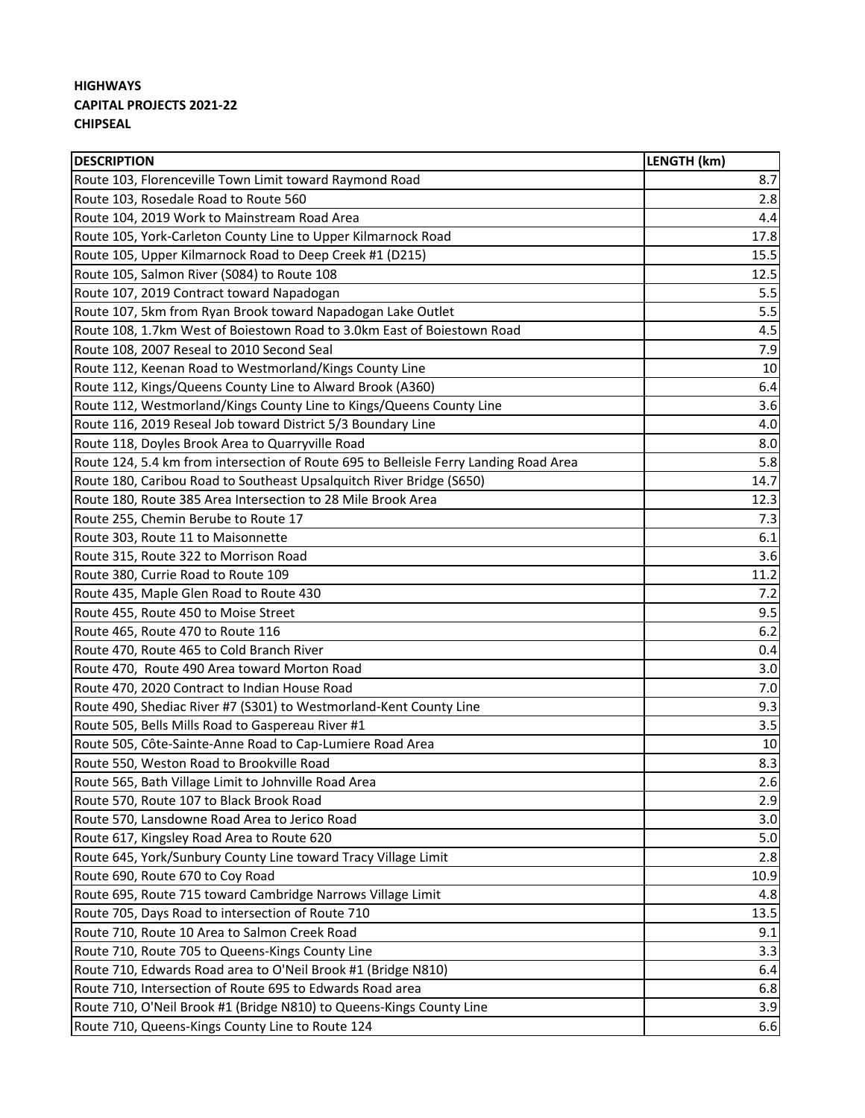## **HIGHWAYS CAPITAL PROJECTS 2021‐22 CHIPSEAL**

| <b>DESCRIPTION</b>                                                                    | LENGTH (km) |
|---------------------------------------------------------------------------------------|-------------|
| Route 103, Florenceville Town Limit toward Raymond Road                               | 8.7         |
| Route 103, Rosedale Road to Route 560                                                 | 2.8         |
| Route 104, 2019 Work to Mainstream Road Area                                          | 4.4         |
| Route 105, York-Carleton County Line to Upper Kilmarnock Road                         | 17.8        |
| Route 105, Upper Kilmarnock Road to Deep Creek #1 (D215)                              | 15.5        |
| Route 105, Salmon River (S084) to Route 108                                           | 12.5        |
| Route 107, 2019 Contract toward Napadogan                                             | 5.5         |
| Route 107, 5km from Ryan Brook toward Napadogan Lake Outlet                           | 5.5         |
| Route 108, 1.7km West of Boiestown Road to 3.0km East of Boiestown Road               | 4.5         |
| Route 108, 2007 Reseal to 2010 Second Seal                                            | 7.9         |
| Route 112, Keenan Road to Westmorland/Kings County Line                               | 10          |
| Route 112, Kings/Queens County Line to Alward Brook (A360)                            | 6.4         |
| Route 112, Westmorland/Kings County Line to Kings/Queens County Line                  | 3.6         |
| Route 116, 2019 Reseal Job toward District 5/3 Boundary Line                          | 4.0         |
| Route 118, Doyles Brook Area to Quarryville Road                                      | 8.0         |
| Route 124, 5.4 km from intersection of Route 695 to Belleisle Ferry Landing Road Area | 5.8         |
| Route 180, Caribou Road to Southeast Upsalquitch River Bridge (S650)                  | 14.7        |
| Route 180, Route 385 Area Intersection to 28 Mile Brook Area                          | 12.3        |
| Route 255, Chemin Berube to Route 17                                                  | 7.3         |
| Route 303, Route 11 to Maisonnette                                                    | 6.1         |
| Route 315, Route 322 to Morrison Road                                                 | 3.6         |
| Route 380, Currie Road to Route 109                                                   | 11.2        |
| Route 435, Maple Glen Road to Route 430                                               | 7.2         |
| Route 455, Route 450 to Moise Street                                                  | 9.5         |
| Route 465, Route 470 to Route 116                                                     | 6.2         |
| Route 470, Route 465 to Cold Branch River                                             | 0.4         |
| Route 470, Route 490 Area toward Morton Road                                          | 3.0         |
| Route 470, 2020 Contract to Indian House Road                                         | 7.0         |
| Route 490, Shediac River #7 (S301) to Westmorland-Kent County Line                    | 9.3         |
| Route 505, Bells Mills Road to Gaspereau River #1                                     | 3.5         |
| Route 505, Côte-Sainte-Anne Road to Cap-Lumiere Road Area                             | 10          |
| Route 550, Weston Road to Brookville Road                                             | 8.3         |
| Route 565, Bath Village Limit to Johnville Road Area                                  | 2.6         |
| Route 570, Route 107 to Black Brook Road                                              | 2.9         |
| Route 570, Lansdowne Road Area to Jerico Road                                         | 3.0         |
| Route 617, Kingsley Road Area to Route 620                                            | 5.0         |
| Route 645, York/Sunbury County Line toward Tracy Village Limit                        | 2.8         |
| Route 690, Route 670 to Coy Road                                                      | 10.9        |
| Route 695, Route 715 toward Cambridge Narrows Village Limit                           | 4.8         |
| Route 705, Days Road to intersection of Route 710                                     | 13.5        |
| Route 710, Route 10 Area to Salmon Creek Road                                         | 9.1         |
| Route 710, Route 705 to Queens-Kings County Line                                      | 3.3         |
| Route 710, Edwards Road area to O'Neil Brook #1 (Bridge N810)                         | 6.4         |
| Route 710, Intersection of Route 695 to Edwards Road area                             | 6.8         |
| Route 710, O'Neil Brook #1 (Bridge N810) to Queens-Kings County Line                  | 3.9         |
| Route 710, Queens-Kings County Line to Route 124                                      | 6.6         |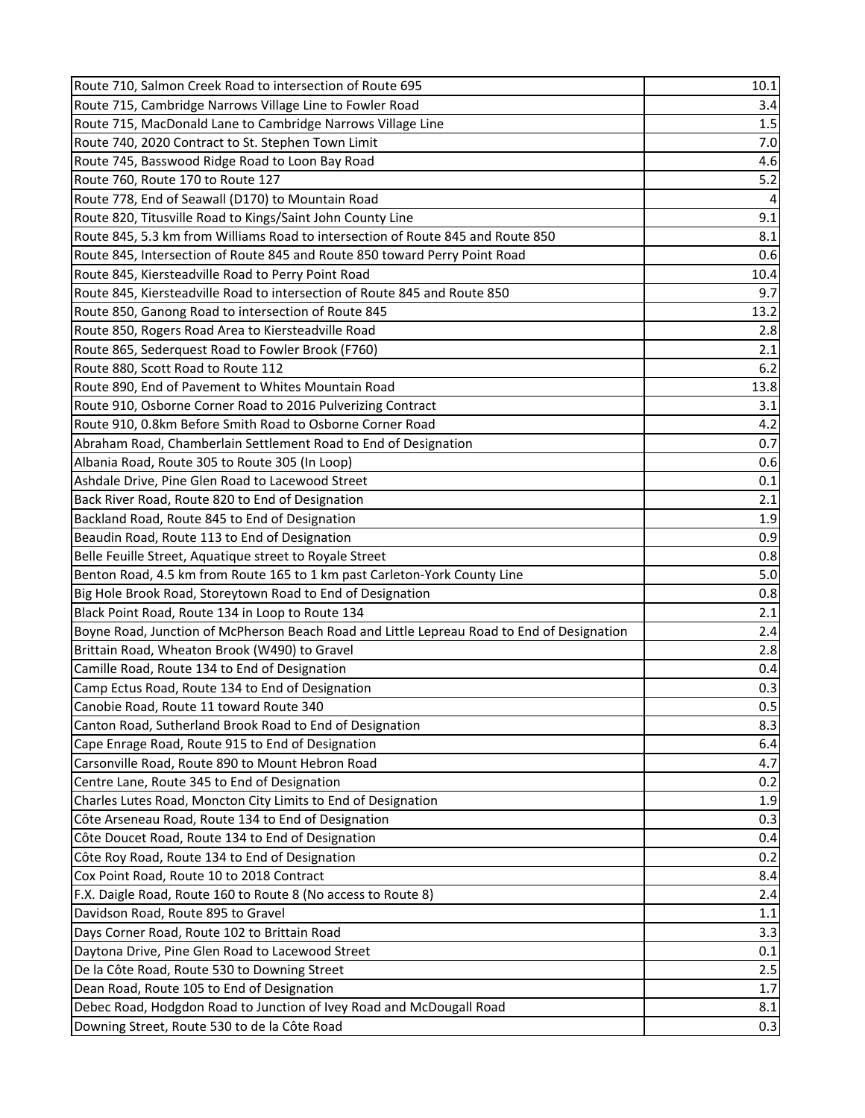| Route 710, Salmon Creek Road to intersection of Route 695                                  | 10.1           |
|--------------------------------------------------------------------------------------------|----------------|
| Route 715, Cambridge Narrows Village Line to Fowler Road                                   | 3.4            |
| Route 715, MacDonald Lane to Cambridge Narrows Village Line                                | 1.5            |
| Route 740, 2020 Contract to St. Stephen Town Limit                                         | 7.0            |
| Route 745, Basswood Ridge Road to Loon Bay Road                                            | 4.6            |
| Route 760, Route 170 to Route 127                                                          | 5.2            |
| Route 778, End of Seawall (D170) to Mountain Road                                          | $\overline{4}$ |
| Route 820, Titusville Road to Kings/Saint John County Line                                 | 9.1            |
| Route 845, 5.3 km from Williams Road to intersection of Route 845 and Route 850            | 8.1            |
| Route 845, Intersection of Route 845 and Route 850 toward Perry Point Road                 | 0.6            |
| Route 845, Kiersteadville Road to Perry Point Road                                         | 10.4           |
| Route 845, Kiersteadville Road to intersection of Route 845 and Route 850                  | 9.7            |
| Route 850, Ganong Road to intersection of Route 845                                        | 13.2           |
| Route 850, Rogers Road Area to Kiersteadville Road                                         | 2.8            |
| Route 865, Sederquest Road to Fowler Brook (F760)                                          | 2.1            |
| Route 880, Scott Road to Route 112                                                         | 6.2            |
| Route 890, End of Pavement to Whites Mountain Road                                         | 13.8           |
| Route 910, Osborne Corner Road to 2016 Pulverizing Contract                                | 3.1            |
| Route 910, 0.8km Before Smith Road to Osborne Corner Road                                  | 4.2            |
| Abraham Road, Chamberlain Settlement Road to End of Designation                            | 0.7            |
| Albania Road, Route 305 to Route 305 (In Loop)                                             | 0.6            |
| Ashdale Drive, Pine Glen Road to Lacewood Street                                           | 0.1            |
| Back River Road, Route 820 to End of Designation                                           | 2.1            |
| Backland Road, Route 845 to End of Designation                                             | 1.9            |
| Beaudin Road, Route 113 to End of Designation                                              | 0.9            |
| Belle Feuille Street, Aquatique street to Royale Street                                    | 0.8            |
| Benton Road, 4.5 km from Route 165 to 1 km past Carleton-York County Line                  | 5.0            |
| Big Hole Brook Road, Storeytown Road to End of Designation                                 | 0.8            |
| Black Point Road, Route 134 in Loop to Route 134                                           | 2.1            |
| Boyne Road, Junction of McPherson Beach Road and Little Lepreau Road to End of Designation | 2.4            |
| Brittain Road, Wheaton Brook (W490) to Gravel                                              | 2.8            |
| Camille Road, Route 134 to End of Designation                                              | 0.4            |
| Camp Ectus Road, Route 134 to End of Designation                                           | 0.3            |
| Canobie Road, Route 11 toward Route 340                                                    | 0.5            |
| Canton Road, Sutherland Brook Road to End of Designation                                   | 8.3            |
| Cape Enrage Road, Route 915 to End of Designation                                          | 6.4            |
| Carsonville Road, Route 890 to Mount Hebron Road                                           | 4.7            |
| Centre Lane, Route 345 to End of Designation                                               | 0.2            |
| Charles Lutes Road, Moncton City Limits to End of Designation                              | 1.9            |
| Côte Arseneau Road, Route 134 to End of Designation                                        | 0.3            |
| Côte Doucet Road, Route 134 to End of Designation                                          | 0.4            |
| Côte Roy Road, Route 134 to End of Designation                                             | 0.2            |
| Cox Point Road, Route 10 to 2018 Contract                                                  | 8.4            |
| F.X. Daigle Road, Route 160 to Route 8 (No access to Route 8)                              | 2.4            |
| Davidson Road, Route 895 to Gravel                                                         | 1.1            |
| Days Corner Road, Route 102 to Brittain Road                                               | 3.3            |
| Daytona Drive, Pine Glen Road to Lacewood Street                                           | 0.1            |
| De la Côte Road, Route 530 to Downing Street                                               | 2.5            |
| Dean Road, Route 105 to End of Designation                                                 | 1.7            |
| Debec Road, Hodgdon Road to Junction of Ivey Road and McDougall Road                       | 8.1            |
| Downing Street, Route 530 to de la Côte Road                                               | 0.3            |
|                                                                                            |                |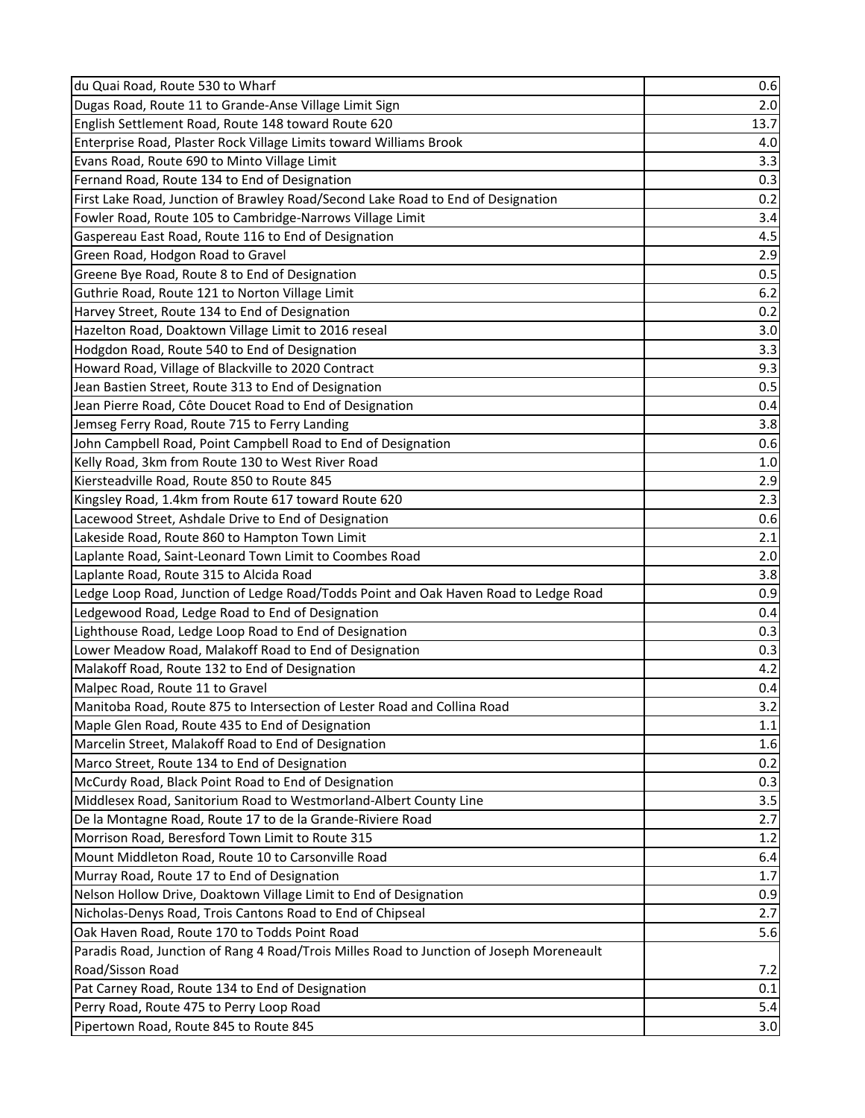| du Quai Road, Route 530 to Wharf                                                         | 0.6     |
|------------------------------------------------------------------------------------------|---------|
| Dugas Road, Route 11 to Grande-Anse Village Limit Sign                                   | 2.0     |
| English Settlement Road, Route 148 toward Route 620                                      | 13.7    |
| Enterprise Road, Plaster Rock Village Limits toward Williams Brook                       | 4.0     |
| Evans Road, Route 690 to Minto Village Limit                                             | 3.3     |
| Fernand Road, Route 134 to End of Designation                                            | 0.3     |
| First Lake Road, Junction of Brawley Road/Second Lake Road to End of Designation         | 0.2     |
| Fowler Road, Route 105 to Cambridge-Narrows Village Limit                                | 3.4     |
| Gaspereau East Road, Route 116 to End of Designation                                     | 4.5     |
| Green Road, Hodgon Road to Gravel                                                        | 2.9     |
| Greene Bye Road, Route 8 to End of Designation                                           | 0.5     |
| Guthrie Road, Route 121 to Norton Village Limit                                          | 6.2     |
| Harvey Street, Route 134 to End of Designation                                           | 0.2     |
| Hazelton Road, Doaktown Village Limit to 2016 reseal                                     | 3.0     |
| Hodgdon Road, Route 540 to End of Designation                                            | 3.3     |
| Howard Road, Village of Blackville to 2020 Contract                                      | 9.3     |
| Jean Bastien Street, Route 313 to End of Designation                                     | 0.5     |
| Jean Pierre Road, Côte Doucet Road to End of Designation                                 | 0.4     |
| Jemseg Ferry Road, Route 715 to Ferry Landing                                            | 3.8     |
| John Campbell Road, Point Campbell Road to End of Designation                            | 0.6     |
| Kelly Road, 3km from Route 130 to West River Road                                        | $1.0\,$ |
| Kiersteadville Road, Route 850 to Route 845                                              | 2.9     |
| Kingsley Road, 1.4km from Route 617 toward Route 620                                     | 2.3     |
| Lacewood Street, Ashdale Drive to End of Designation                                     | 0.6     |
| Lakeside Road, Route 860 to Hampton Town Limit                                           | 2.1     |
| Laplante Road, Saint-Leonard Town Limit to Coombes Road                                  | 2.0     |
| Laplante Road, Route 315 to Alcida Road                                                  | 3.8     |
| Ledge Loop Road, Junction of Ledge Road/Todds Point and Oak Haven Road to Ledge Road     | 0.9     |
| Ledgewood Road, Ledge Road to End of Designation                                         | 0.4     |
| Lighthouse Road, Ledge Loop Road to End of Designation                                   | 0.3     |
| Lower Meadow Road, Malakoff Road to End of Designation                                   | 0.3     |
| Malakoff Road, Route 132 to End of Designation                                           | 4.2     |
| Malpec Road, Route 11 to Gravel                                                          | 0.4     |
| <b>I</b> Manitoba Road. Route 875 to Intersection of Lester Road and Collina Road        | 3.2     |
| Maple Glen Road, Route 435 to End of Designation                                         | $1.1\,$ |
| Marcelin Street, Malakoff Road to End of Designation                                     | 1.6     |
| Marco Street, Route 134 to End of Designation                                            | 0.2     |
| McCurdy Road, Black Point Road to End of Designation                                     | 0.3     |
| Middlesex Road, Sanitorium Road to Westmorland-Albert County Line                        | 3.5     |
| De la Montagne Road, Route 17 to de la Grande-Riviere Road                               | 2.7     |
| Morrison Road, Beresford Town Limit to Route 315                                         | 1.2     |
| Mount Middleton Road, Route 10 to Carsonville Road                                       | 6.4     |
| Murray Road, Route 17 to End of Designation                                              | 1.7     |
| Nelson Hollow Drive, Doaktown Village Limit to End of Designation                        | 0.9     |
| Nicholas-Denys Road, Trois Cantons Road to End of Chipseal                               | 2.7     |
| Oak Haven Road, Route 170 to Todds Point Road                                            | 5.6     |
| Paradis Road, Junction of Rang 4 Road/Trois Milles Road to Junction of Joseph Moreneault |         |
| Road/Sisson Road                                                                         | 7.2     |
| Pat Carney Road, Route 134 to End of Designation                                         | 0.1     |
| Perry Road, Route 475 to Perry Loop Road                                                 | 5.4     |
| Pipertown Road, Route 845 to Route 845                                                   | 3.0     |
|                                                                                          |         |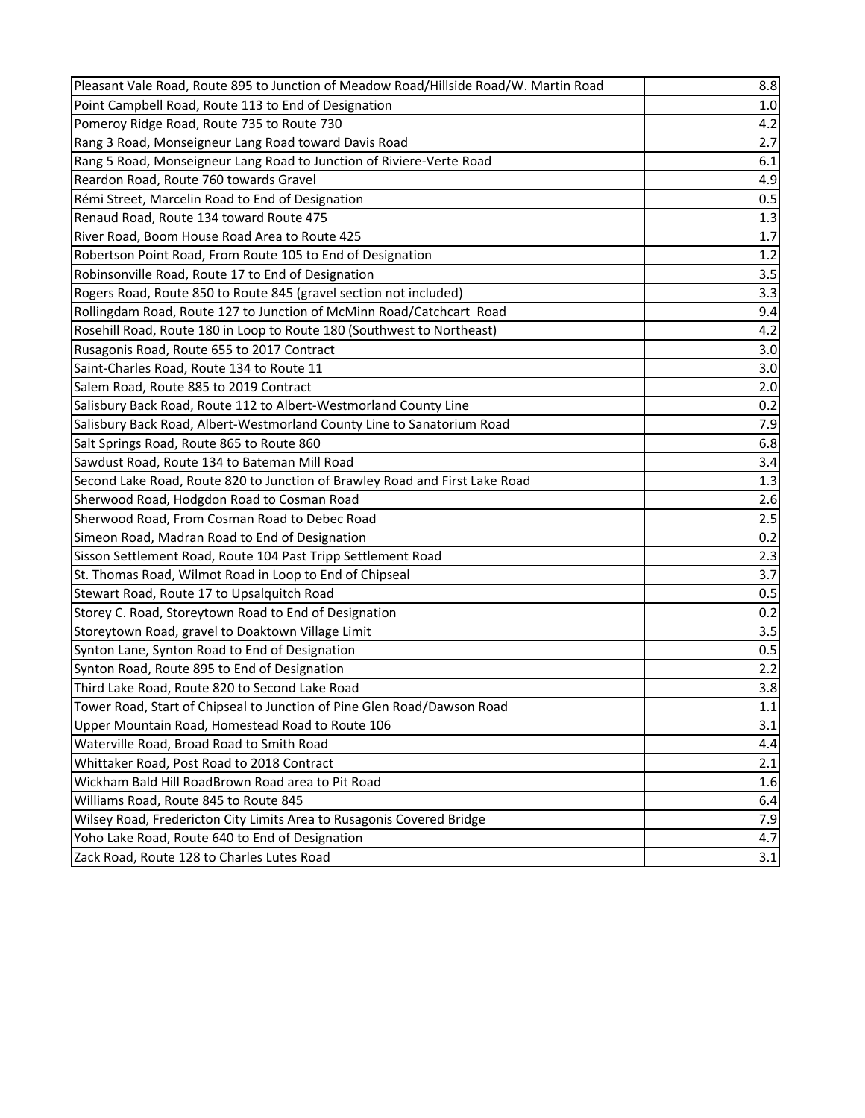| Pleasant Vale Road, Route 895 to Junction of Meadow Road/Hillside Road/W. Martin Road | 8.8 |
|---------------------------------------------------------------------------------------|-----|
| Point Campbell Road, Route 113 to End of Designation                                  | 1.0 |
| Pomeroy Ridge Road, Route 735 to Route 730                                            | 4.2 |
| Rang 3 Road, Monseigneur Lang Road toward Davis Road                                  | 2.7 |
| Rang 5 Road, Monseigneur Lang Road to Junction of Riviere-Verte Road                  | 6.1 |
| Reardon Road, Route 760 towards Gravel                                                | 4.9 |
| Rémi Street, Marcelin Road to End of Designation                                      | 0.5 |
| Renaud Road, Route 134 toward Route 475                                               | 1.3 |
| River Road, Boom House Road Area to Route 425                                         | 1.7 |
| Robertson Point Road, From Route 105 to End of Designation                            | 1.2 |
| Robinsonville Road, Route 17 to End of Designation                                    | 3.5 |
| Rogers Road, Route 850 to Route 845 (gravel section not included)                     | 3.3 |
| Rollingdam Road, Route 127 to Junction of McMinn Road/Catchcart Road                  | 9.4 |
| Rosehill Road, Route 180 in Loop to Route 180 (Southwest to Northeast)                | 4.2 |
| Rusagonis Road, Route 655 to 2017 Contract                                            | 3.0 |
| Saint-Charles Road, Route 134 to Route 11                                             | 3.0 |
| Salem Road, Route 885 to 2019 Contract                                                | 2.0 |
| Salisbury Back Road, Route 112 to Albert-Westmorland County Line                      | 0.2 |
| Salisbury Back Road, Albert-Westmorland County Line to Sanatorium Road                | 7.9 |
| Salt Springs Road, Route 865 to Route 860                                             | 6.8 |
| Sawdust Road, Route 134 to Bateman Mill Road                                          | 3.4 |
| Second Lake Road, Route 820 to Junction of Brawley Road and First Lake Road           | 1.3 |
| Sherwood Road, Hodgdon Road to Cosman Road                                            | 2.6 |
| Sherwood Road, From Cosman Road to Debec Road                                         | 2.5 |
| Simeon Road, Madran Road to End of Designation                                        | 0.2 |
| Sisson Settlement Road, Route 104 Past Tripp Settlement Road                          | 2.3 |
| St. Thomas Road, Wilmot Road in Loop to End of Chipseal                               | 3.7 |
| Stewart Road, Route 17 to Upsalquitch Road                                            | 0.5 |
| Storey C. Road, Storeytown Road to End of Designation                                 | 0.2 |
| Storeytown Road, gravel to Doaktown Village Limit                                     | 3.5 |
| Synton Lane, Synton Road to End of Designation                                        | 0.5 |
| Synton Road, Route 895 to End of Designation                                          | 2.2 |
| Third Lake Road, Route 820 to Second Lake Road                                        | 3.8 |
| Tower Road, Start of Chipseal to Junction of Pine Glen Road/Dawson Road               | 1.1 |
| Upper Mountain Road, Homestead Road to Route 106                                      | 3.1 |
| Waterville Road, Broad Road to Smith Road                                             | 4.4 |
| Whittaker Road, Post Road to 2018 Contract                                            | 2.1 |
| Wickham Bald Hill RoadBrown Road area to Pit Road                                     | 1.6 |
| Williams Road, Route 845 to Route 845                                                 | 6.4 |
| Wilsey Road, Fredericton City Limits Area to Rusagonis Covered Bridge                 | 7.9 |
| Yoho Lake Road, Route 640 to End of Designation                                       | 4.7 |
| Zack Road, Route 128 to Charles Lutes Road                                            | 3.1 |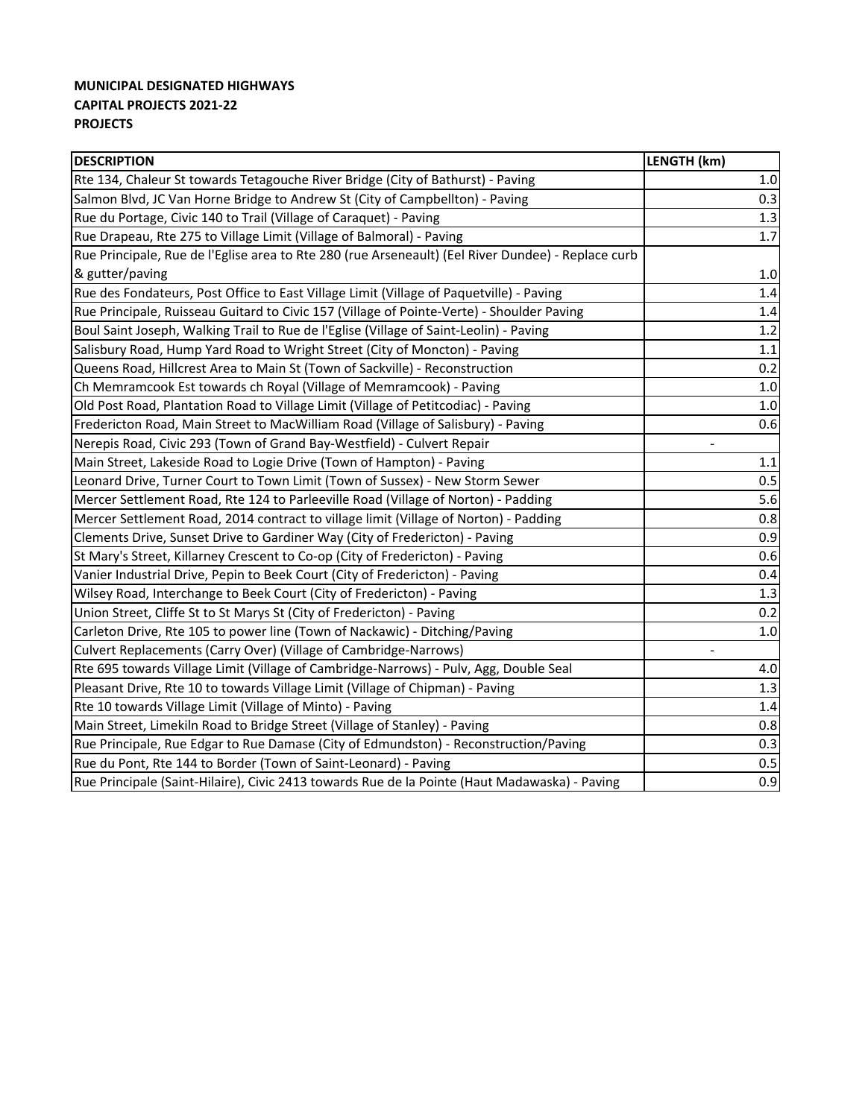### **MUNICIPAL DESIGNATED HIGHWAYS CAPITAL PROJECTS 2021‐22 PROJECTS**

| <b>DESCRIPTION</b>                                                                                 | LENGTH (km)              |
|----------------------------------------------------------------------------------------------------|--------------------------|
| Rte 134, Chaleur St towards Tetagouche River Bridge (City of Bathurst) - Paving                    | $1.0\,$                  |
| Salmon Blvd, JC Van Horne Bridge to Andrew St (City of Campbellton) - Paving                       | 0.3                      |
| Rue du Portage, Civic 140 to Trail (Village of Caraquet) - Paving                                  | 1.3                      |
| Rue Drapeau, Rte 275 to Village Limit (Village of Balmoral) - Paving                               | 1.7                      |
| Rue Principale, Rue de l'Eglise area to Rte 280 (rue Arseneault) (Eel River Dundee) - Replace curb |                          |
| & gutter/paving                                                                                    | $1.0\,$                  |
| Rue des Fondateurs, Post Office to East Village Limit (Village of Paquetville) - Paving            | 1.4                      |
| Rue Principale, Ruisseau Guitard to Civic 157 (Village of Pointe-Verte) - Shoulder Paving          | 1.4                      |
| Boul Saint Joseph, Walking Trail to Rue de l'Eglise (Village of Saint-Leolin) - Paving             | 1.2                      |
| Salisbury Road, Hump Yard Road to Wright Street (City of Moncton) - Paving                         | $1.1\,$                  |
| Queens Road, Hillcrest Area to Main St (Town of Sackville) - Reconstruction                        | 0.2                      |
| Ch Memramcook Est towards ch Royal (Village of Memramcook) - Paving                                | $1.0\,$                  |
| Old Post Road, Plantation Road to Village Limit (Village of Petitcodiac) - Paving                  | 1.0                      |
| Fredericton Road, Main Street to MacWilliam Road (Village of Salisbury) - Paving                   | 0.6                      |
| Nerepis Road, Civic 293 (Town of Grand Bay-Westfield) - Culvert Repair                             |                          |
| Main Street, Lakeside Road to Logie Drive (Town of Hampton) - Paving                               | $1.1\,$                  |
| Leonard Drive, Turner Court to Town Limit (Town of Sussex) - New Storm Sewer                       | 0.5                      |
| Mercer Settlement Road, Rte 124 to Parleeville Road (Village of Norton) - Padding                  | 5.6                      |
| Mercer Settlement Road, 2014 contract to village limit (Village of Norton) - Padding               | 0.8                      |
| Clements Drive, Sunset Drive to Gardiner Way (City of Fredericton) - Paving                        | 0.9                      |
| St Mary's Street, Killarney Crescent to Co-op (City of Fredericton) - Paving                       | 0.6                      |
| Vanier Industrial Drive, Pepin to Beek Court (City of Fredericton) - Paving                        | 0.4                      |
| Wilsey Road, Interchange to Beek Court (City of Fredericton) - Paving                              | 1.3                      |
| Union Street, Cliffe St to St Marys St (City of Fredericton) - Paving                              | 0.2                      |
| Carleton Drive, Rte 105 to power line (Town of Nackawic) - Ditching/Paving                         | 1.0                      |
| Culvert Replacements (Carry Over) (Village of Cambridge-Narrows)                                   | $\overline{\phantom{0}}$ |
| Rte 695 towards Village Limit (Village of Cambridge-Narrows) - Pulv, Agg, Double Seal              | 4.0                      |
| Pleasant Drive, Rte 10 to towards Village Limit (Village of Chipman) - Paving                      | 1.3                      |
| Rte 10 towards Village Limit (Village of Minto) - Paving                                           | 1.4                      |
| Main Street, Limekiln Road to Bridge Street (Village of Stanley) - Paving                          | 0.8                      |
| Rue Principale, Rue Edgar to Rue Damase (City of Edmundston) - Reconstruction/Paving               | 0.3                      |
| Rue du Pont, Rte 144 to Border (Town of Saint-Leonard) - Paving                                    | 0.5                      |
| Rue Principale (Saint-Hilaire), Civic 2413 towards Rue de la Pointe (Haut Madawaska) - Paving      | 0.9                      |